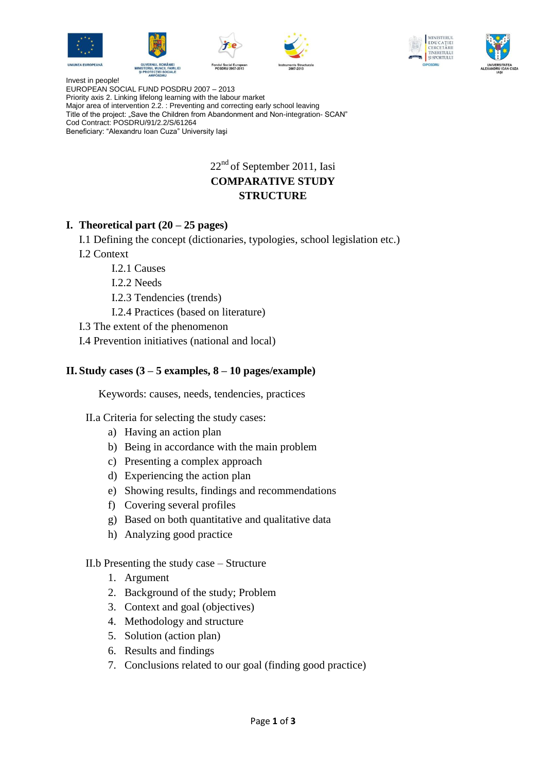











Invest in people! EUROPEAN SOCIAL FUND POSDRU 2007 – 2013 Priority axis 2. Linking lifelong learning with the labour market Major area of intervention 2.2. : Preventing and correcting early school leaving Title of the project: "Save the Children from Abandonment and Non-integration- SCAN" Cod Contract: POSDRU/91/2.2/S/61264 Beneficiary: "Alexandru Ioan Cuza" University Iaşi

# 22<sup>nd</sup> of September 2011, Iasi **COMPARATIVE STUDY STRUCTURE**

## **I. Theoretical part (20 – 25 pages)**

- I.1 Defining the concept (dictionaries, typologies, school legislation etc.)
- I.2 Context
	- I.2.1 Causes
	- I.2.2 Needs
	- I.2.3 Tendencies (trends)
	- I.2.4 Practices (based on literature)
- I.3 The extent of the phenomenon
- I.4 Prevention initiatives (national and local)

#### **II. Study cases (3 – 5 examples, 8 – 10 pages/example)**

Keywords: causes, needs, tendencies, practices

II.a Criteria for selecting the study cases:

- a) Having an action plan
- b) Being in accordance with the main problem
- c) Presenting a complex approach
- d) Experiencing the action plan
- e) Showing results, findings and recommendations
- f) Covering several profiles
- g) Based on both quantitative and qualitative data
- h) Analyzing good practice

II.b Presenting the study case – Structure

- 1. Argument
- 2. Background of the study; Problem
- 3. Context and goal (objectives)
- 4. Methodology and structure
- 5. Solution (action plan)
- 6. Results and findings
- 7. Conclusions related to our goal (finding good practice)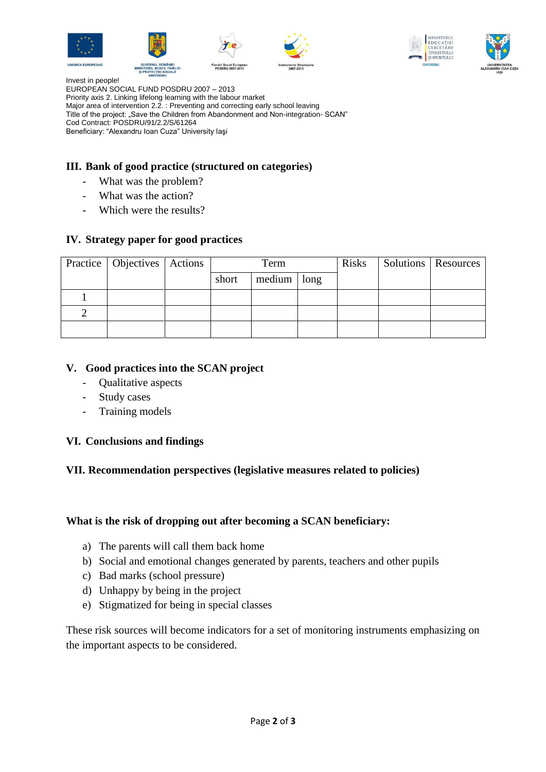











Invest in people! EUROPEAN SOCIAL FUND POSDRU 2007 – 2013 Priority axis 2. Linking lifelong learning with the labour market Major area of intervention 2.2. : Preventing and correcting early school leaving Title of the project: "Save the Children from Abandonment and Non-integration- SCAN" Cod Contract: POSDRU/91/2.2/S/61264 Beneficiary: "Alexandru Ioan Cuza" University Iaşi

# **III. Bank of good practice (structured on categories)**

- What was the problem?
- What was the action?
- Which were the results?

## **IV. Strategy paper for good practices**

| Practice   Objectives   Actions | Term  |               | <b>Risks</b> | Solutions   Resources |  |
|---------------------------------|-------|---------------|--------------|-----------------------|--|
|                                 | short | $median$ long |              |                       |  |
|                                 |       |               |              |                       |  |
|                                 |       |               |              |                       |  |
|                                 |       |               |              |                       |  |

## **V. Good practices into the SCAN project**

- Qualitative aspects
- Study cases
- Training models

#### **VI. Conclusions and findings**

#### **VII. Recommendation perspectives (legislative measures related to policies)**

#### **What is the risk of dropping out after becoming a SCAN beneficiary:**

- a) The parents will call them back home
- b) Social and emotional changes generated by parents, teachers and other pupils
- c) Bad marks (school pressure)
- d) Unhappy by being in the project
- e) Stigmatized for being in special classes

These risk sources will become indicators for a set of monitoring instruments emphasizing on the important aspects to be considered.